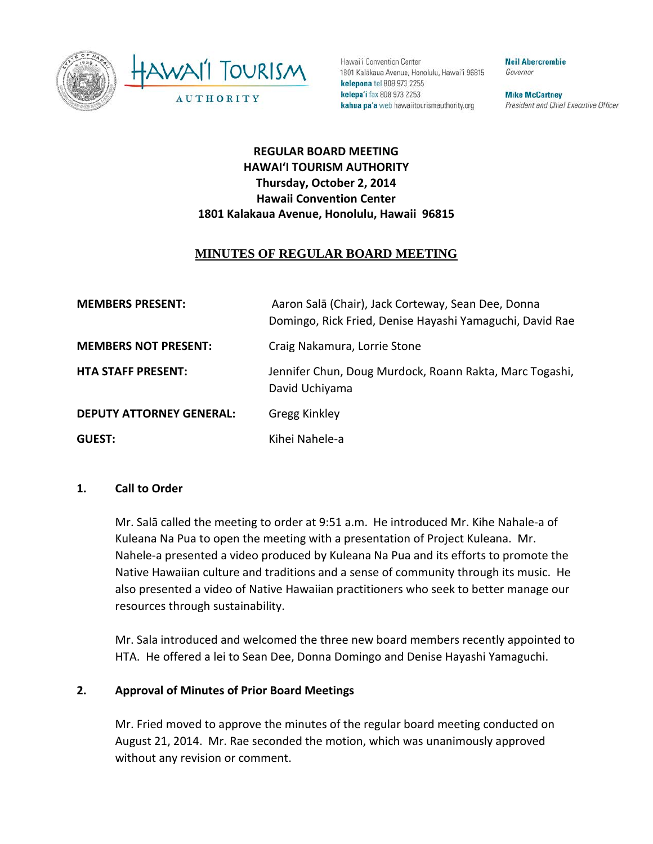



Hawai'i Convention Center 1801 Kalākaua Avenue, Honolulu, Hawai'i 96815 kelepona tel 808 973 2255 kelepa'i fax 808 973 2253 kahua pa'a web hawaiitourismauthority.org

**Neil Abercrombie** Governor

**Mike McCartney** President and Chief Executive Officer

# **REGULAR BOARD MEETING HAWAI'I TOURISM AUTHORITY Thursday, October 2, 2014 Hawaii Convention Center 1801 Kalakaua Avenue, Honolulu, Hawaii 96815**

# **MINUTES OF REGULAR BOARD MEETING**

| <b>MEMBERS PRESENT:</b>         | Aaron Salā (Chair), Jack Corteway, Sean Dee, Donna<br>Domingo, Rick Fried, Denise Hayashi Yamaguchi, David Rae |
|---------------------------------|----------------------------------------------------------------------------------------------------------------|
| <b>MEMBERS NOT PRESENT:</b>     | Craig Nakamura, Lorrie Stone                                                                                   |
| <b>HTA STAFF PRESENT:</b>       | Jennifer Chun, Doug Murdock, Roann Rakta, Marc Togashi,<br>David Uchiyama                                      |
| <b>DEPUTY ATTORNEY GENERAL:</b> | <b>Gregg Kinkley</b>                                                                                           |
| <b>GUEST:</b>                   | Kihei Nahele-a                                                                                                 |

### **1. Call to Order**

Mr. Salā called the meeting to order at 9:51 a.m. He introduced Mr. Kihe Nahale-a of Kuleana Na Pua to open the meeting with a presentation of Project Kuleana. Mr. Nahele-a presented a video produced by Kuleana Na Pua and its efforts to promote the Native Hawaiian culture and traditions and a sense of community through its music. He also presented a video of Native Hawaiian practitioners who seek to better manage our resources through sustainability.

Mr. Sala introduced and welcomed the three new board members recently appointed to HTA. He offered a lei to Sean Dee, Donna Domingo and Denise Hayashi Yamaguchi.

### **2. Approval of Minutes of Prior Board Meetings**

Mr. Fried moved to approve the minutes of the regular board meeting conducted on August 21, 2014. Mr. Rae seconded the motion, which was unanimously approved without any revision or comment.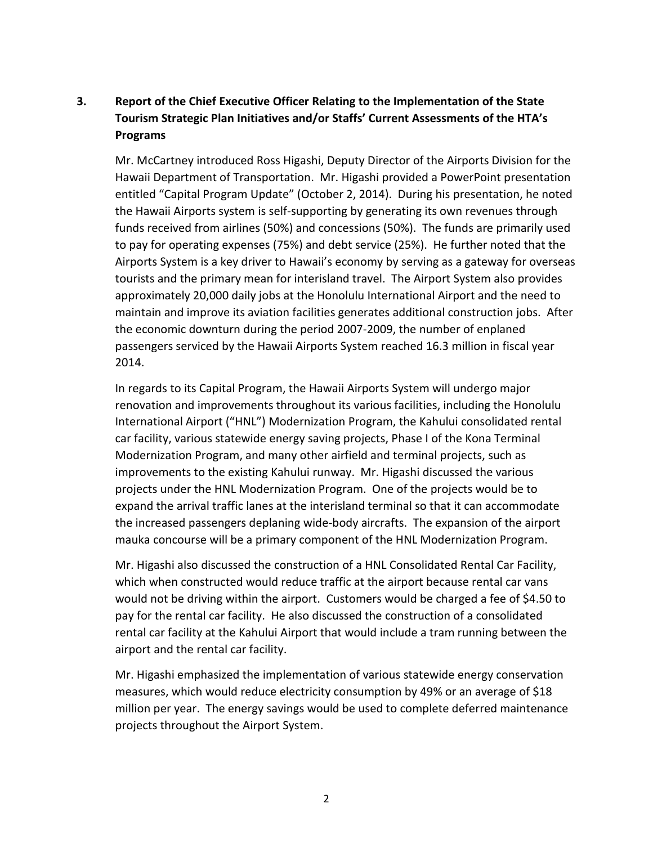# **3. Report of the Chief Executive Officer Relating to the Implementation of the State Tourism Strategic Plan Initiatives and/or Staffs' Current Assessments of the HTA's Programs**

Mr. McCartney introduced Ross Higashi, Deputy Director of the Airports Division for the Hawaii Department of Transportation. Mr. Higashi provided a PowerPoint presentation entitled "Capital Program Update" (October 2, 2014). During his presentation, he noted the Hawaii Airports system is self-supporting by generating its own revenues through funds received from airlines (50%) and concessions (50%). The funds are primarily used to pay for operating expenses (75%) and debt service (25%). He further noted that the Airports System is a key driver to Hawaii's economy by serving as a gateway for overseas tourists and the primary mean for interisland travel. The Airport System also provides approximately 20,000 daily jobs at the Honolulu International Airport and the need to maintain and improve its aviation facilities generates additional construction jobs. After the economic downturn during the period 2007-2009, the number of enplaned passengers serviced by the Hawaii Airports System reached 16.3 million in fiscal year 2014.

In regards to its Capital Program, the Hawaii Airports System will undergo major renovation and improvements throughout its various facilities, including the Honolulu International Airport ("HNL") Modernization Program, the Kahului consolidated rental car facility, various statewide energy saving projects, Phase I of the Kona Terminal Modernization Program, and many other airfield and terminal projects, such as improvements to the existing Kahului runway. Mr. Higashi discussed the various projects under the HNL Modernization Program. One of the projects would be to expand the arrival traffic lanes at the interisland terminal so that it can accommodate the increased passengers deplaning wide-body aircrafts. The expansion of the airport mauka concourse will be a primary component of the HNL Modernization Program.

Mr. Higashi also discussed the construction of a HNL Consolidated Rental Car Facility, which when constructed would reduce traffic at the airport because rental car vans would not be driving within the airport. Customers would be charged a fee of \$4.50 to pay for the rental car facility. He also discussed the construction of a consolidated rental car facility at the Kahului Airport that would include a tram running between the airport and the rental car facility.

Mr. Higashi emphasized the implementation of various statewide energy conservation measures, which would reduce electricity consumption by 49% or an average of \$18 million per year. The energy savings would be used to complete deferred maintenance projects throughout the Airport System.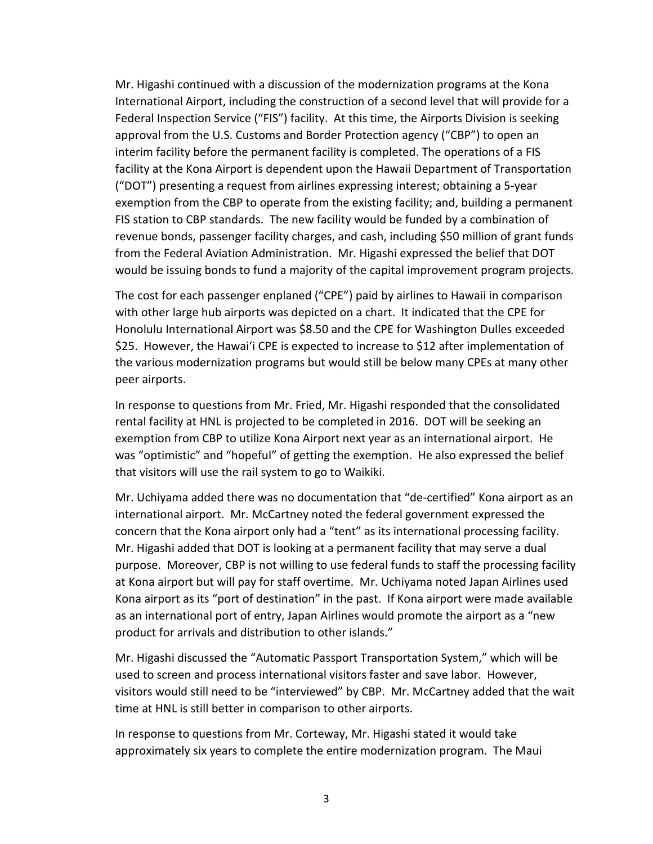Mr. Higashi continued with a discussion of the modernization programs at the Kona International Airport, including the construction of a second level that will provide for a Federal Inspection Service ("FIS") facility. At this time, the Airports Division is seeking approval from the U.S. Customs and Border Protection agency ("CBP") to open an interim facility before the permanent facility is completed. The operations of a FIS facility at the Kona Airport is dependent upon the Hawaii Department of Transportation ("DOT") presenting a request from airlines expressing interest; obtaining a 5-year exemption from the CBP to operate from the existing facility; and, building a permanent FIS station to CBP standards. The new facility would be funded by a combination of revenue bonds, passenger facility charges, and cash, including \$50 million of grant funds from the Federal Aviation Administration. Mr. Higashi expressed the belief that DOT would be issuing bonds to fund a majority of the capital improvement program projects.

The cost for each passenger enplaned ("CPE") paid by airlines to Hawaii in comparison with other large hub airports was depicted on a chart. It indicated that the CPE for Honolulu International Airport was \$8.50 and the CPE for Washington Dulles exceeded \$25. However, the Hawai'i CPE is expected to increase to \$12 after implementation of the various modernization programs but would still be below many CPEs at many other peer airports.

In response to questions from Mr. Fried, Mr. Higashi responded that the consolidated rental facility at HNL is projected to be completed in 2016. DOT will be seeking an exemption from CBP to utilize Kona Airport next year as an international airport. He was "optimistic" and "hopeful" of getting the exemption. He also expressed the belief that visitors will use the rail system to go to Waikiki.

Mr. Uchiyama added there was no documentation that "de-certified" Kona airport as an international airport. Mr. McCartney noted the federal government expressed the concern that the Kona airport only had a "tent" as its international processing facility. Mr. Higashi added that DOT is looking at a permanent facility that may serve a dual purpose. Moreover, CBP is not willing to use federal funds to staff the processing facility at Kona airport but will pay for staff overtime. Mr. Uchiyama noted Japan Airlines used Kona airport as its "port of destination" in the past. If Kona airport were made available as an international port of entry, Japan Airlines would promote the airport as a "new product for arrivals and distribution to other islands."

Mr. Higashi discussed the "Automatic Passport Transportation System," which will be used to screen and process international visitors faster and save labor. However, visitors would still need to be "interviewed" by CBP. Mr. McCartney added that the wait time at HNL is still better in comparison to other airports.

In response to questions from Mr. Corteway, Mr. Higashi stated it would take approximately six years to complete the entire modernization program. The Maui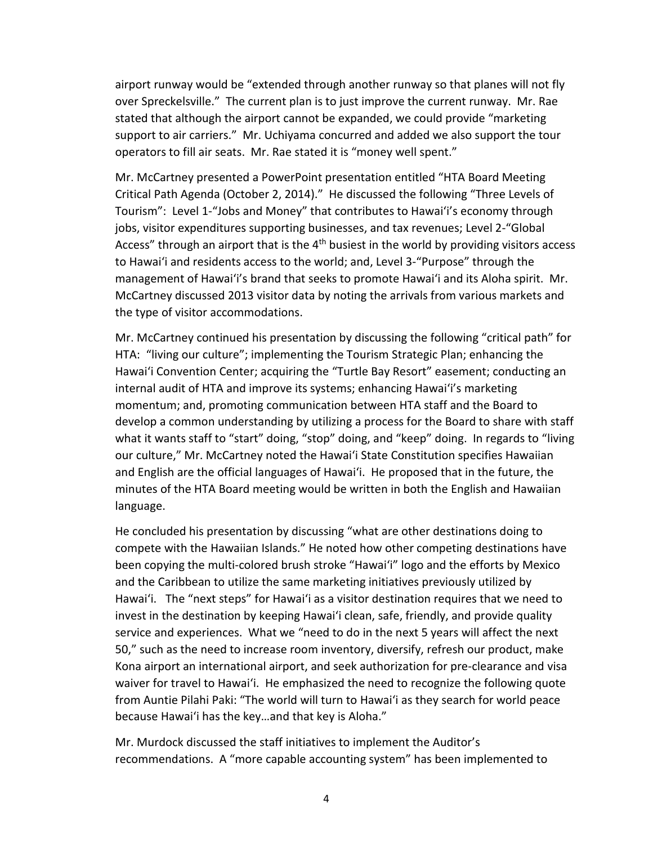airport runway would be "extended through another runway so that planes will not fly over Spreckelsville." The current plan is to just improve the current runway. Mr. Rae stated that although the airport cannot be expanded, we could provide "marketing support to air carriers." Mr. Uchiyama concurred and added we also support the tour operators to fill air seats. Mr. Rae stated it is "money well spent."

Mr. McCartney presented a PowerPoint presentation entitled "HTA Board Meeting Critical Path Agenda (October 2, 2014)." He discussed the following "Three Levels of Tourism": Level 1-"Jobs and Money" that contributes to Hawai'i's economy through jobs, visitor expenditures supporting businesses, and tax revenues; Level 2-"Global Access" through an airport that is the  $4<sup>th</sup>$  busiest in the world by providing visitors access to Hawai'i and residents access to the world; and, Level 3-"Purpose" through the management of Hawai'i's brand that seeks to promote Hawai'i and its Aloha spirit. Mr. McCartney discussed 2013 visitor data by noting the arrivals from various markets and the type of visitor accommodations.

Mr. McCartney continued his presentation by discussing the following "critical path" for HTA: "living our culture"; implementing the Tourism Strategic Plan; enhancing the Hawai'i Convention Center; acquiring the "Turtle Bay Resort" easement; conducting an internal audit of HTA and improve its systems; enhancing Hawai'i's marketing momentum; and, promoting communication between HTA staff and the Board to develop a common understanding by utilizing a process for the Board to share with staff what it wants staff to "start" doing, "stop" doing, and "keep" doing. In regards to "living our culture," Mr. McCartney noted the Hawai'i State Constitution specifies Hawaiian and English are the official languages of Hawai'i. He proposed that in the future, the minutes of the HTA Board meeting would be written in both the English and Hawaiian language.

He concluded his presentation by discussing "what are other destinations doing to compete with the Hawaiian Islands." He noted how other competing destinations have been copying the multi-colored brush stroke "Hawai'i" logo and the efforts by Mexico and the Caribbean to utilize the same marketing initiatives previously utilized by Hawai'i. The "next steps" for Hawai'i as a visitor destination requires that we need to invest in the destination by keeping Hawai'i clean, safe, friendly, and provide quality service and experiences. What we "need to do in the next 5 years will affect the next 50," such as the need to increase room inventory, diversify, refresh our product, make Kona airport an international airport, and seek authorization for pre-clearance and visa waiver for travel to Hawai'i. He emphasized the need to recognize the following quote from Auntie Pilahi Paki: "The world will turn to Hawai'i as they search for world peace because Hawai'i has the key…and that key is Aloha."

Mr. Murdock discussed the staff initiatives to implement the Auditor's recommendations. A "more capable accounting system" has been implemented to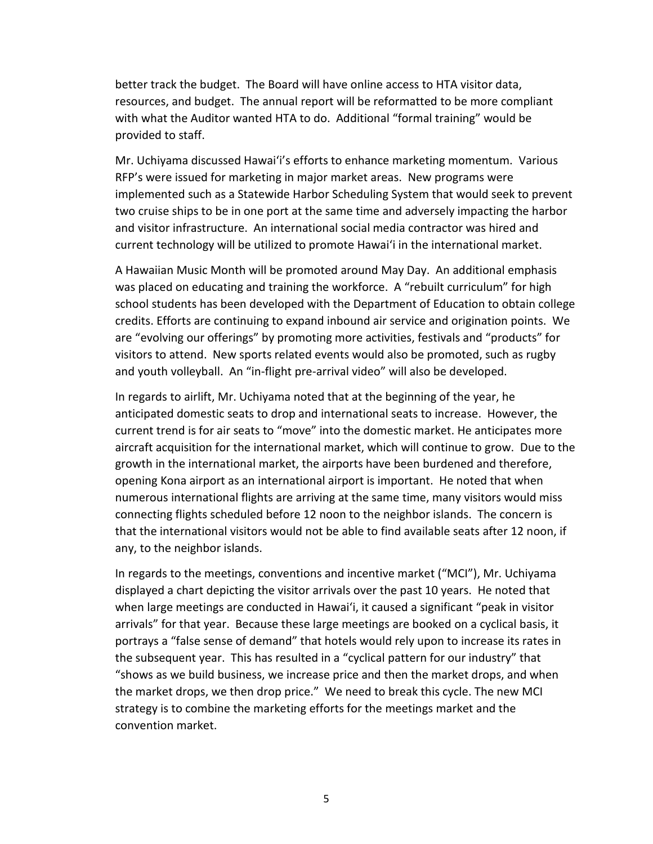better track the budget. The Board will have online access to HTA visitor data, resources, and budget. The annual report will be reformatted to be more compliant with what the Auditor wanted HTA to do. Additional "formal training" would be provided to staff.

Mr. Uchiyama discussed Hawai'i's efforts to enhance marketing momentum. Various RFP's were issued for marketing in major market areas. New programs were implemented such as a Statewide Harbor Scheduling System that would seek to prevent two cruise ships to be in one port at the same time and adversely impacting the harbor and visitor infrastructure. An international social media contractor was hired and current technology will be utilized to promote Hawai'i in the international market.

A Hawaiian Music Month will be promoted around May Day. An additional emphasis was placed on educating and training the workforce. A "rebuilt curriculum" for high school students has been developed with the Department of Education to obtain college credits. Efforts are continuing to expand inbound air service and origination points. We are "evolving our offerings" by promoting more activities, festivals and "products" for visitors to attend. New sports related events would also be promoted, such as rugby and youth volleyball. An "in-flight pre-arrival video" will also be developed.

In regards to airlift, Mr. Uchiyama noted that at the beginning of the year, he anticipated domestic seats to drop and international seats to increase. However, the current trend is for air seats to "move" into the domestic market. He anticipates more aircraft acquisition for the international market, which will continue to grow. Due to the growth in the international market, the airports have been burdened and therefore, opening Kona airport as an international airport is important. He noted that when numerous international flights are arriving at the same time, many visitors would miss connecting flights scheduled before 12 noon to the neighbor islands. The concern is that the international visitors would not be able to find available seats after 12 noon, if any, to the neighbor islands.

In regards to the meetings, conventions and incentive market ("MCI"), Mr. Uchiyama displayed a chart depicting the visitor arrivals over the past 10 years. He noted that when large meetings are conducted in Hawai'i, it caused a significant "peak in visitor arrivals" for that year. Because these large meetings are booked on a cyclical basis, it portrays a "false sense of demand" that hotels would rely upon to increase its rates in the subsequent year. This has resulted in a "cyclical pattern for our industry" that "shows as we build business, we increase price and then the market drops, and when the market drops, we then drop price." We need to break this cycle. The new MCI strategy is to combine the marketing efforts for the meetings market and the convention market.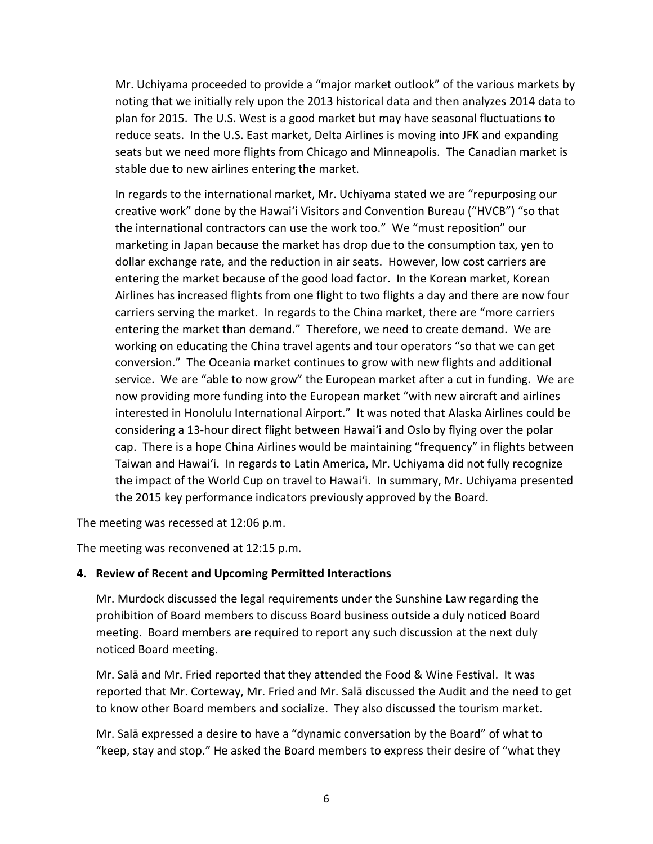Mr. Uchiyama proceeded to provide a "major market outlook" of the various markets by noting that we initially rely upon the 2013 historical data and then analyzes 2014 data to plan for 2015. The U.S. West is a good market but may have seasonal fluctuations to reduce seats. In the U.S. East market, Delta Airlines is moving into JFK and expanding seats but we need more flights from Chicago and Minneapolis. The Canadian market is stable due to new airlines entering the market.

In regards to the international market, Mr. Uchiyama stated we are "repurposing our creative work" done by the Hawai'i Visitors and Convention Bureau ("HVCB") "so that the international contractors can use the work too." We "must reposition" our marketing in Japan because the market has drop due to the consumption tax, yen to dollar exchange rate, and the reduction in air seats. However, low cost carriers are entering the market because of the good load factor. In the Korean market, Korean Airlines has increased flights from one flight to two flights a day and there are now four carriers serving the market. In regards to the China market, there are "more carriers entering the market than demand." Therefore, we need to create demand. We are working on educating the China travel agents and tour operators "so that we can get conversion." The Oceania market continues to grow with new flights and additional service. We are "able to now grow" the European market after a cut in funding. We are now providing more funding into the European market "with new aircraft and airlines interested in Honolulu International Airport." It was noted that Alaska Airlines could be considering a 13-hour direct flight between Hawai'i and Oslo by flying over the polar cap. There is a hope China Airlines would be maintaining "frequency" in flights between Taiwan and Hawai'i. In regards to Latin America, Mr. Uchiyama did not fully recognize the impact of the World Cup on travel to Hawai'i. In summary, Mr. Uchiyama presented the 2015 key performance indicators previously approved by the Board.

The meeting was recessed at 12:06 p.m.

The meeting was reconvened at 12:15 p.m.

### **4. Review of Recent and Upcoming Permitted Interactions**

Mr. Murdock discussed the legal requirements under the Sunshine Law regarding the prohibition of Board members to discuss Board business outside a duly noticed Board meeting. Board members are required to report any such discussion at the next duly noticed Board meeting.

Mr. Salā and Mr. Fried reported that they attended the Food & Wine Festival. It was reported that Mr. Corteway, Mr. Fried and Mr. Salā discussed the Audit and the need to get to know other Board members and socialize. They also discussed the tourism market.

Mr. Salā expressed a desire to have a "dynamic conversation by the Board" of what to "keep, stay and stop." He asked the Board members to express their desire of "what they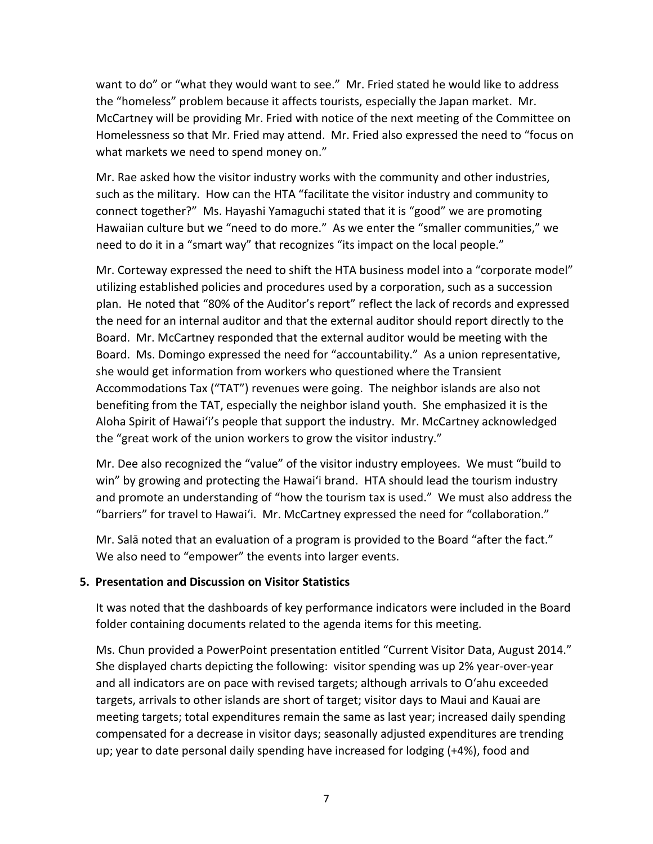want to do" or "what they would want to see." Mr. Fried stated he would like to address the "homeless" problem because it affects tourists, especially the Japan market. Mr. McCartney will be providing Mr. Fried with notice of the next meeting of the Committee on Homelessness so that Mr. Fried may attend. Mr. Fried also expressed the need to "focus on what markets we need to spend money on."

Mr. Rae asked how the visitor industry works with the community and other industries, such as the military. How can the HTA "facilitate the visitor industry and community to connect together?" Ms. Hayashi Yamaguchi stated that it is "good" we are promoting Hawaiian culture but we "need to do more." As we enter the "smaller communities," we need to do it in a "smart way" that recognizes "its impact on the local people."

Mr. Corteway expressed the need to shift the HTA business model into a "corporate model" utilizing established policies and procedures used by a corporation, such as a succession plan. He noted that "80% of the Auditor's report" reflect the lack of records and expressed the need for an internal auditor and that the external auditor should report directly to the Board. Mr. McCartney responded that the external auditor would be meeting with the Board. Ms. Domingo expressed the need for "accountability." As a union representative, she would get information from workers who questioned where the Transient Accommodations Tax ("TAT") revenues were going. The neighbor islands are also not benefiting from the TAT, especially the neighbor island youth. She emphasized it is the Aloha Spirit of Hawai'i's people that support the industry. Mr. McCartney acknowledged the "great work of the union workers to grow the visitor industry."

Mr. Dee also recognized the "value" of the visitor industry employees. We must "build to win" by growing and protecting the Hawai'i brand. HTA should lead the tourism industry and promote an understanding of "how the tourism tax is used." We must also address the "barriers" for travel to Hawai'i. Mr. McCartney expressed the need for "collaboration."

Mr. Salā noted that an evaluation of a program is provided to the Board "after the fact." We also need to "empower" the events into larger events.

## **5. Presentation and Discussion on Visitor Statistics**

It was noted that the dashboards of key performance indicators were included in the Board folder containing documents related to the agenda items for this meeting.

Ms. Chun provided a PowerPoint presentation entitled "Current Visitor Data, August 2014." She displayed charts depicting the following: visitor spending was up 2% year-over-year and all indicators are on pace with revised targets; although arrivals to O'ahu exceeded targets, arrivals to other islands are short of target; visitor days to Maui and Kauai are meeting targets; total expenditures remain the same as last year; increased daily spending compensated for a decrease in visitor days; seasonally adjusted expenditures are trending up; year to date personal daily spending have increased for lodging (+4%), food and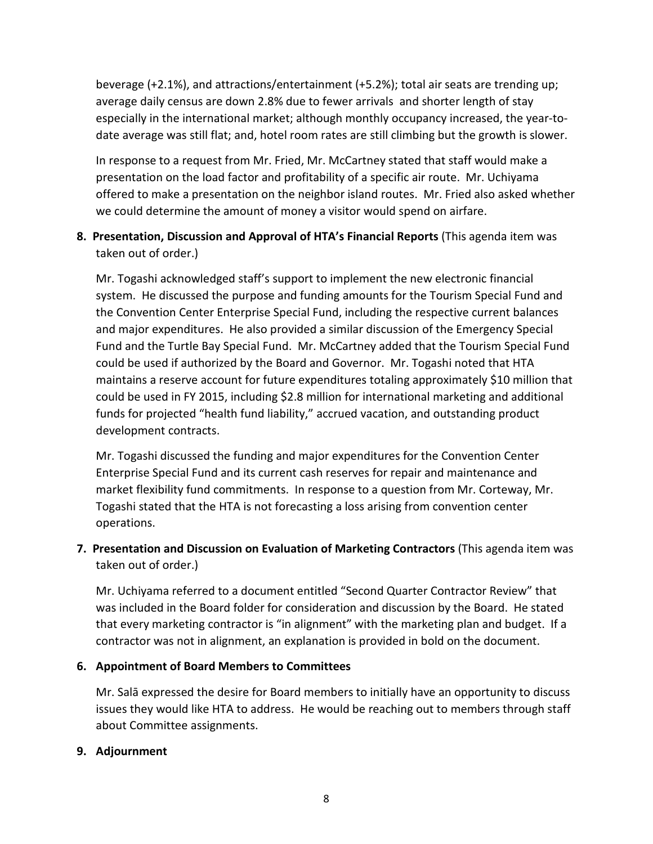beverage (+2.1%), and attractions/entertainment (+5.2%); total air seats are trending up; average daily census are down 2.8% due to fewer arrivals and shorter length of stay especially in the international market; although monthly occupancy increased, the year-todate average was still flat; and, hotel room rates are still climbing but the growth is slower.

In response to a request from Mr. Fried, Mr. McCartney stated that staff would make a presentation on the load factor and profitability of a specific air route. Mr. Uchiyama offered to make a presentation on the neighbor island routes. Mr. Fried also asked whether we could determine the amount of money a visitor would spend on airfare.

# **8. Presentation, Discussion and Approval of HTA's Financial Reports** (This agenda item was taken out of order.)

Mr. Togashi acknowledged staff's support to implement the new electronic financial system. He discussed the purpose and funding amounts for the Tourism Special Fund and the Convention Center Enterprise Special Fund, including the respective current balances and major expenditures. He also provided a similar discussion of the Emergency Special Fund and the Turtle Bay Special Fund. Mr. McCartney added that the Tourism Special Fund could be used if authorized by the Board and Governor. Mr. Togashi noted that HTA maintains a reserve account for future expenditures totaling approximately \$10 million that could be used in FY 2015, including \$2.8 million for international marketing and additional funds for projected "health fund liability," accrued vacation, and outstanding product development contracts.

Mr. Togashi discussed the funding and major expenditures for the Convention Center Enterprise Special Fund and its current cash reserves for repair and maintenance and market flexibility fund commitments. In response to a question from Mr. Corteway, Mr. Togashi stated that the HTA is not forecasting a loss arising from convention center operations.

## **7. Presentation and Discussion on Evaluation of Marketing Contractors** (This agenda item was taken out of order.)

Mr. Uchiyama referred to a document entitled "Second Quarter Contractor Review" that was included in the Board folder for consideration and discussion by the Board. He stated that every marketing contractor is "in alignment" with the marketing plan and budget. If a contractor was not in alignment, an explanation is provided in bold on the document.

## **6. Appointment of Board Members to Committees**

Mr. Salā expressed the desire for Board members to initially have an opportunity to discuss issues they would like HTA to address. He would be reaching out to members through staff about Committee assignments.

### **9. Adjournment**